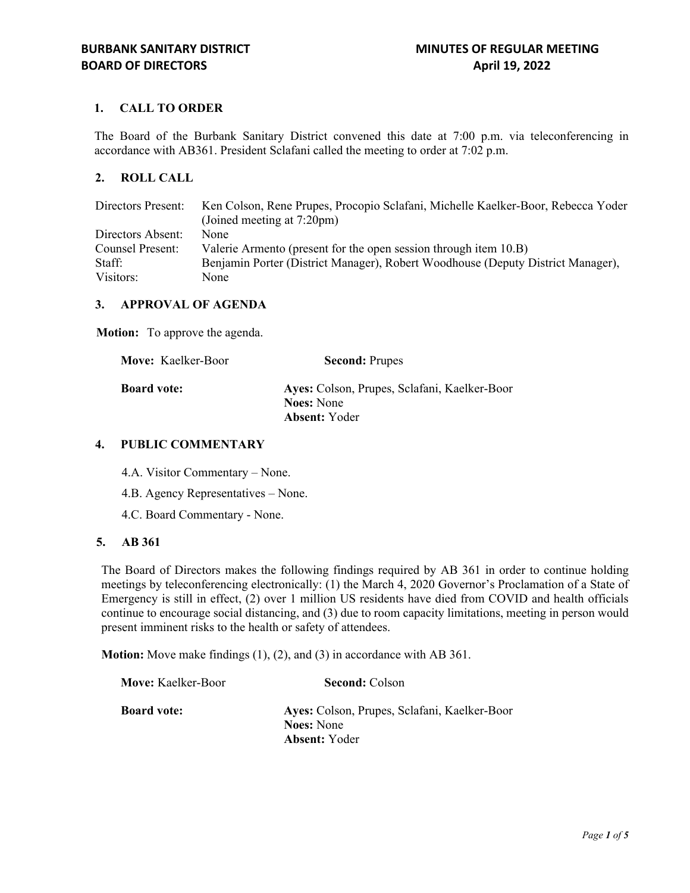# **1. CALL TO ORDER**

The Board of the Burbank Sanitary District convened this date at 7:00 p.m. via teleconferencing in accordance with AB361. President Sclafani called the meeting to order at 7:02 p.m.

# **2. ROLL CALL**

| Directors Present: | Ken Colson, Rene Prupes, Procopio Sclafani, Michelle Kaelker-Boor, Rebecca Yoder |  |
|--------------------|----------------------------------------------------------------------------------|--|
|                    | (Joined meeting at 7:20pm)                                                       |  |
| Directors Absent:  | None                                                                             |  |
| Counsel Present:   | Valerie Armento (present for the open session through item 10.B)                 |  |
| Staff:             | Benjamin Porter (District Manager), Robert Woodhouse (Deputy District Manager),  |  |
| Visitors:          | None                                                                             |  |

#### **3. APPROVAL OF AGENDA**

**Motion:** To approve the agenda.

| <b>Move:</b> Kaelker-Boor | <b>Second: Prupes</b>                        |
|---------------------------|----------------------------------------------|
| <b>Board vote:</b>        | Ayes: Colson, Prupes, Sclafani, Kaelker-Boor |
|                           | <b>Noes:</b> None                            |
|                           | <b>Absent:</b> Yoder                         |

#### **4. PUBLIC COMMENTARY**

4.A. Visitor Commentary – None.

- 4.B. Agency Representatives None.
- 4.C. Board Commentary None.

#### **5. AB 361**

The Board of Directors makes the following findings required by AB 361 in order to continue holding meetings by teleconferencing electronically: (1) the March 4, 2020 Governor's Proclamation of a State of Emergency is still in effect, (2) over 1 million US residents have died from COVID and health officials continue to encourage social distancing, and (3) due to room capacity limitations, meeting in person would present imminent risks to the health or safety of attendees.

**Motion:** Move make findings (1), (2), and (3) in accordance with AB 361.

| <b>Move:</b> Kaelker-Boor | <b>Second: Colson</b>                        |
|---------------------------|----------------------------------------------|
| <b>Board vote:</b>        | Ayes: Colson, Prupes, Sclafani, Kaelker-Boor |
|                           | <b>Noes:</b> None                            |
|                           | <b>Absent:</b> Yoder                         |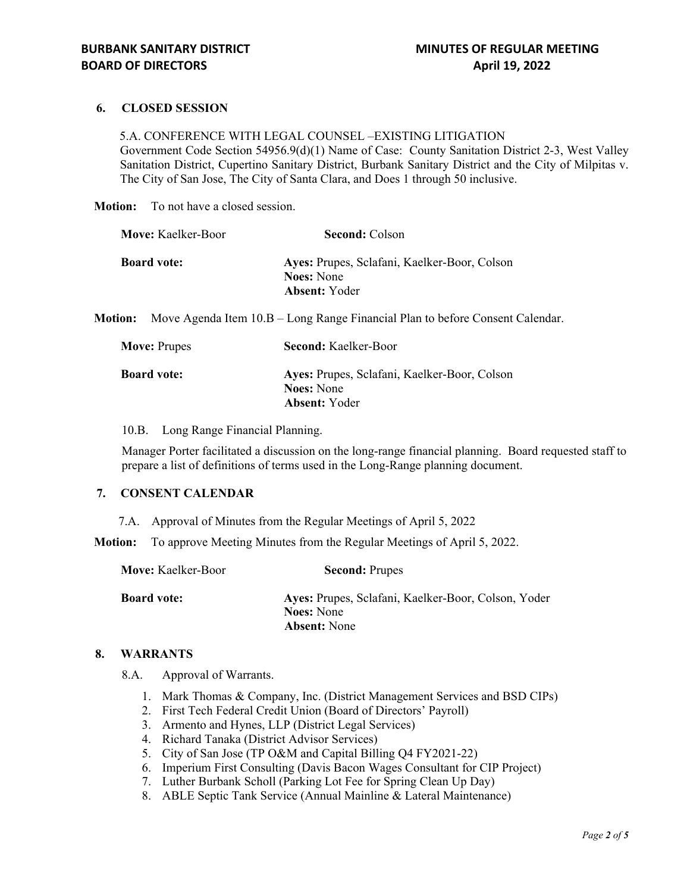## **6. CLOSED SESSION**

5.A. CONFERENCE WITH LEGAL COUNSEL –EXISTING LITIGATION Government Code Section 54956.9(d)(1) Name of Case: County Sanitation District 2-3, West Valley Sanitation District, Cupertino Sanitary District, Burbank Sanitary District and the City of Milpitas v. The City of San Jose, The City of Santa Clara, and Does 1 through 50 inclusive.

**Motion:** To not have a closed session.

| <b>Second: Colson</b>                                                                     |
|-------------------------------------------------------------------------------------------|
| Ayes: Prupes, Sclafani, Kaelker-Boor, Colson<br><b>Noes:</b> None<br><b>Absent:</b> Yoder |
|                                                                                           |

**Motion:** Move Agenda Item 10.B – Long Range Financial Plan to before Consent Calendar.

| <b>Move: Prupes</b> | <b>Second: Kaelker-Boor</b>                                                               |
|---------------------|-------------------------------------------------------------------------------------------|
| <b>Board vote:</b>  | Ayes: Prupes, Sclafani, Kaelker-Boor, Colson<br><b>Noes:</b> None<br><b>Absent:</b> Yoder |

10.B. Long Range Financial Planning.

Manager Porter facilitated a discussion on the long-range financial planning. Board requested staff to prepare a list of definitions of terms used in the Long-Range planning document.

## **7. CONSENT CALENDAR**

7.A. Approval of Minutes from the Regular Meetings of April 5, 2022

**Motion:** To approve Meeting Minutes from the Regular Meetings of April 5, 2022.

| <b>Move:</b> Kaelker-Boor | <b>Second: Prupes</b>                                                    |
|---------------------------|--------------------------------------------------------------------------|
| <b>Board vote:</b>        | Ayes: Prupes, Sclafani, Kaelker-Boor, Colson, Yoder<br><b>Noes:</b> None |
|                           | <b>Absent:</b> None                                                      |

#### **8. WARRANTS**

8.A. Approval of Warrants.

- 1. Mark Thomas & Company, Inc. (District Management Services and BSD CIPs)
- 2. First Tech Federal Credit Union (Board of Directors' Payroll)
- 3. Armento and Hynes, LLP (District Legal Services)
- 4. Richard Tanaka (District Advisor Services)
- 5. City of San Jose (TP O&M and Capital Billing Q4 FY2021-22)
- 6. Imperium First Consulting (Davis Bacon Wages Consultant for CIP Project)
- 7. Luther Burbank Scholl (Parking Lot Fee for Spring Clean Up Day)
- 8. ABLE Septic Tank Service (Annual Mainline & Lateral Maintenance)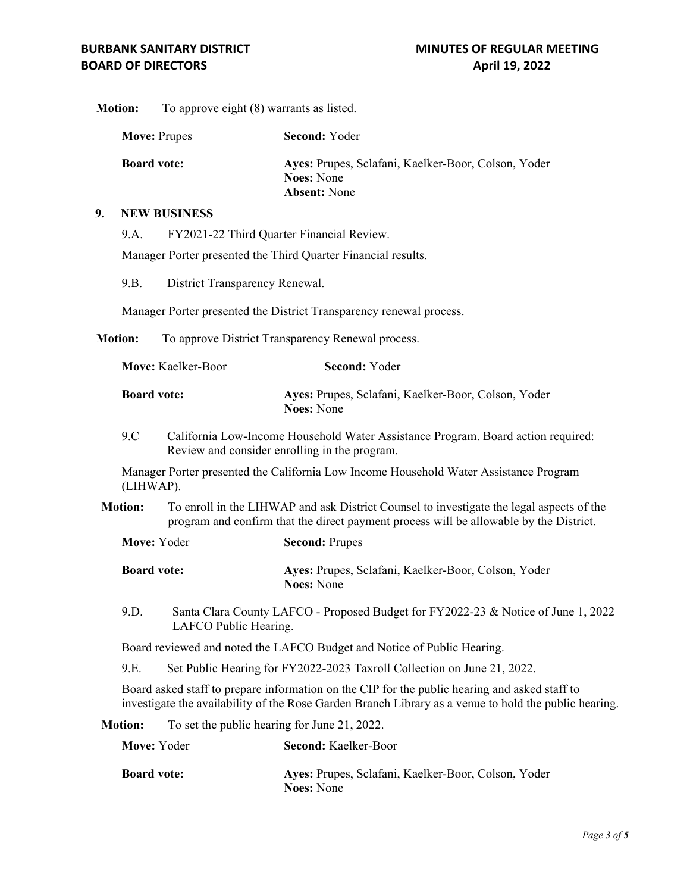**Motion:** To approve eight (8) warrants as listed.

| <b>Move: Prupes</b> |                     | <b>Second: Yoder</b>                                                                            |
|---------------------|---------------------|-------------------------------------------------------------------------------------------------|
| <b>Board vote:</b>  |                     | Ayes: Prupes, Sclafani, Kaelker-Boor, Colson, Yoder<br><b>Noes:</b> None<br><b>Absent:</b> None |
|                     | <b>NEW BUSINESS</b> |                                                                                                 |
| 9.A.                |                     | FY2021-22 Third Quarter Financial Review.                                                       |

Manager Porter presented the Third Quarter Financial results.

9.B. District Transparency Renewal.

Manager Porter presented the District Transparency renewal process.

**Motion:** To approve District Transparency Renewal process.

| <b>Move:</b> Kaelker-Boor | <b>Second:</b> Yoder                                                     |
|---------------------------|--------------------------------------------------------------------------|
| <b>Board vote:</b>        | Ayes: Prupes, Sclafani, Kaelker-Boor, Colson, Yoder<br><b>Noes:</b> None |

9.C California Low-Income Household Water Assistance Program. Board action required: Review and consider enrolling in the program.

Manager Porter presented the California Low Income Household Water Assistance Program (LIHWAP).

**Motion:** To enroll in the LIHWAP and ask District Counsel to investigate the legal aspects of the program and confirm that the direct payment process will be allowable by the District.

| <b>Board vote:</b> | Ayes: Prupes, Sclafani, Kaelker-Boor, Colson, Yoder<br><b>Noes:</b> None |
|--------------------|--------------------------------------------------------------------------|

9.D. Santa Clara County LAFCO - Proposed Budget for FY2022-23 & Notice of June 1, 2022 LAFCO Public Hearing.

Board reviewed and noted the LAFCO Budget and Notice of Public Hearing.

9.E. Set Public Hearing for FY2022-2023 Taxroll Collection on June 21, 2022.

Board asked staff to prepare information on the CIP for the public hearing and asked staff to investigate the availability of the Rose Garden Branch Library as a venue to hold the public hearing.

**Motion:** To set the public hearing for June 21, 2022.

**Move:** Yoder **Second:** Prupes

| Move: Yoder        | <b>Second: Kaelker-Boor</b>                                              |
|--------------------|--------------------------------------------------------------------------|
| <b>Board vote:</b> | Ayes: Prupes, Sclafani, Kaelker-Boor, Colson, Yoder<br><b>Noes:</b> None |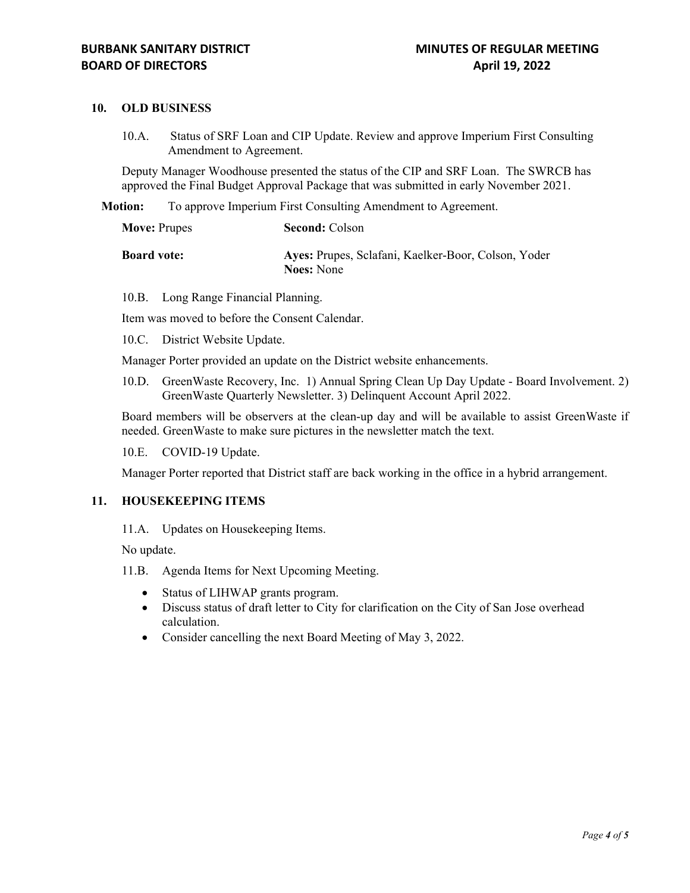### **10. OLD BUSINESS**

10.A. Status of SRF Loan and CIP Update. Review and approve Imperium First Consulting Amendment to Agreement.

Deputy Manager Woodhouse presented the status of the CIP and SRF Loan. The SWRCB has approved the Final Budget Approval Package that was submitted in early November 2021.

**Motion:** To approve Imperium First Consulting Amendment to Agreement.

| <b>Move: Prupes</b> | <b>Second: Colson</b>                                                    |
|---------------------|--------------------------------------------------------------------------|
| <b>Board vote:</b>  | Ayes: Prupes, Sclafani, Kaelker-Boor, Colson, Yoder<br><b>Noes:</b> None |

10.B. Long Range Financial Planning.

Item was moved to before the Consent Calendar.

10.C. District Website Update.

Manager Porter provided an update on the District website enhancements.

10.D. GreenWaste Recovery, Inc. 1) Annual Spring Clean Up Day Update - Board Involvement. 2) GreenWaste Quarterly Newsletter. 3) Delinquent Account April 2022.

Board members will be observers at the clean-up day and will be available to assist GreenWaste if needed. GreenWaste to make sure pictures in the newsletter match the text.

10.E. COVID-19 Update.

Manager Porter reported that District staff are back working in the office in a hybrid arrangement.

#### **11. HOUSEKEEPING ITEMS**

11.A. Updates on Housekeeping Items.

No update.

- 11.B. Agenda Items for Next Upcoming Meeting.
	- Status of LIHWAP grants program.
	- Discuss status of draft letter to City for clarification on the City of San Jose overhead calculation.
	- Consider cancelling the next Board Meeting of May 3, 2022.